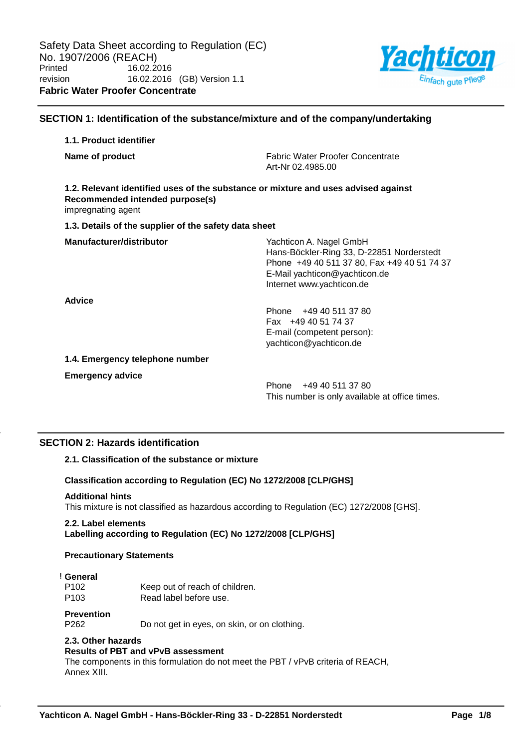

## **SECTION 1: Identification of the substance/mixture and of the company/undertaking**

# **1.1. Product identifier Name of product** Fabric Water Proofer Concentrate Art-Nr 02.4985.00 **1.2. Relevant identified uses of the substance or mixture and uses advised against Recommended intended purpose(s)** impregnating agent **1.3. Details of the supplier of the safety data sheet Manufacturer/distributor** Wachticon A. Nagel GmbH Hans-Böckler-Ring 33, D-22851 Norderstedt Phone +49 40 511 37 80, Fax +49 40 51 74 37 E-Mail yachticon@yachticon.de Internet www.yachticon.de **Advice** Phone +49 40 511 37 80 Fax +49 40 51 74 37 E-mail (competent person): yachticon@yachticon.de **1.4. Emergency telephone number Emergency advice**

Phone +49 40 511 37 80 This number is only available at office times.

# **SECTION 2: Hazards identification**

## **2.1. Classification of the substance or mixture**

## **Classification according to Regulation (EC) No 1272/2008 [CLP/GHS]**

## **Additional hints**

This mixture is not classified as hazardous according to Regulation (EC) 1272/2008 [GHS].

## **2.2. Label elements**

**Labelling according to Regulation (EC) No 1272/2008 [CLP/GHS]**

## **Precautionary Statements**

## ! **General**

P102 Keep out of reach of children. P103 Read label before use.

## **Prevention**

P262 Do not get in eyes, on skin, or on clothing.

## **2.3. Other hazards**

# **Results of PBT and vPvB assessment**

The components in this formulation do not meet the PBT / vPvB criteria of REACH, Annex XIII.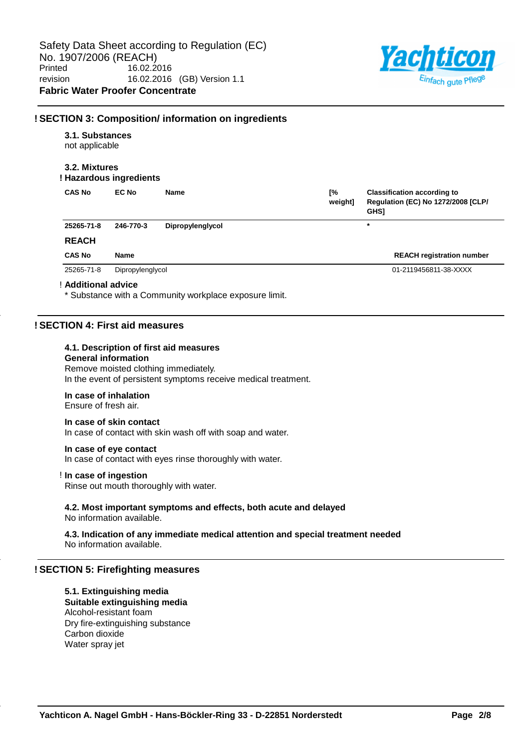

## **! SECTION 3: Composition/ information on ingredients**

## **3.1. Substances**

not applicable

## **3.2. Mixtures**

## **! Hazardous ingredients**

| <b>CAS No</b> | EC No            | Name             | [%<br>weight] | <b>Classification according to</b><br>Regulation (EC) No 1272/2008 [CLP/<br><b>GHS1</b> |
|---------------|------------------|------------------|---------------|-----------------------------------------------------------------------------------------|
| 25265-71-8    | 246-770-3        | Dipropylenglycol |               | *                                                                                       |
| <b>REACH</b>  |                  |                  |               |                                                                                         |
| <b>CAS No</b> | Name             |                  |               | <b>REACH registration number</b>                                                        |
| 25265-71-8    | Dipropylenglycol |                  |               | 01-2119456811-38-XXXX                                                                   |

#### ! **Additional advice**

\* Substance with a Community workplace exposure limit.

## **! SECTION 4: First aid measures**

## **4.1. Description of first aid measures**

## **General information**

Remove moisted clothing immediately. In the event of persistent symptoms receive medical treatment.

## **In case of inhalation**

Ensure of fresh air.

## **In case of skin contact**

In case of contact with skin wash off with soap and water.

## **In case of eye contact**

In case of contact with eyes rinse thoroughly with water.

## ! **In case of ingestion**

Rinse out mouth thoroughly with water.

#### **4.2. Most important symptoms and effects, both acute and delayed** No information available.

**4.3. Indication of any immediate medical attention and special treatment needed** No information available.

## **! SECTION 5: Firefighting measures**

## **5.1. Extinguishing media Suitable extinguishing media** Alcohol-resistant foam

Dry fire-extinguishing substance Carbon dioxide Water spray jet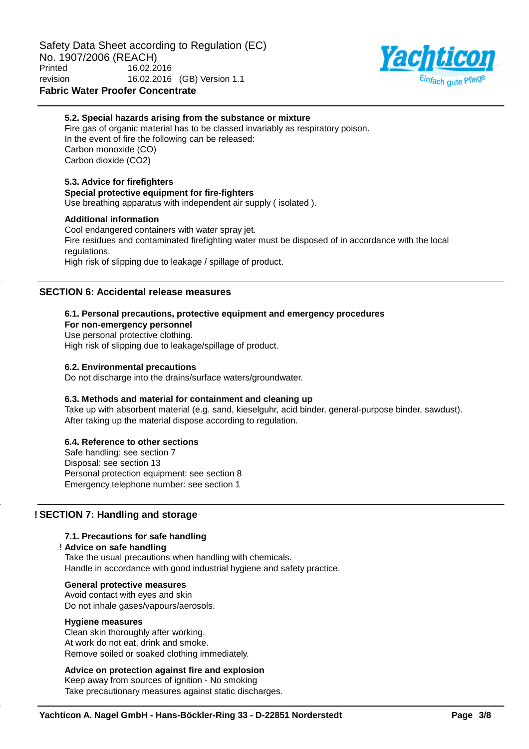

## **5.2. Special hazards arising from the substance or mixture**

Fire gas of organic material has to be classed invariably as respiratory poison. In the event of fire the following can be released: Carbon monoxide (CO) Carbon dioxide (CO2)

## **5.3. Advice for firefighters**

#### **Special protective equipment for fire-fighters**

Use breathing apparatus with independent air supply ( isolated ).

## **Additional information**

Cool endangered containers with water spray jet. Fire residues and contaminated firefighting water must be disposed of in accordance with the local regulations. High risk of slipping due to leakage / spillage of product.

## **SECTION 6: Accidental release measures**

## **6.1. Personal precautions, protective equipment and emergency procedures**

**For non-emergency personnel**

Use personal protective clothing.

High risk of slipping due to leakage/spillage of product.

## **6.2. Environmental precautions**

Do not discharge into the drains/surface waters/groundwater.

## **6.3. Methods and material for containment and cleaning up**

Take up with absorbent material (e.g. sand, kieselguhr, acid binder, general-purpose binder, sawdust). After taking up the material dispose according to regulation.

## **6.4. Reference to other sections**

Safe handling: see section 7 Disposal: see section 13 Personal protection equipment: see section 8 Emergency telephone number: see section 1

## **! SECTION 7: Handling and storage**

## **7.1. Precautions for safe handling**

#### ! **Advice on safe handling**

Take the usual precautions when handling with chemicals. Handle in accordance with good industrial hygiene and safety practice.

## **General protective measures**

Avoid contact with eyes and skin Do not inhale gases/vapours/aerosols.

#### **Hygiene measures**

Clean skin thoroughly after working. At work do not eat, drink and smoke. Remove soiled or soaked clothing immediately.

## **Advice on protection against fire and explosion**

Keep away from sources of ignition - No smoking Take precautionary measures against static discharges.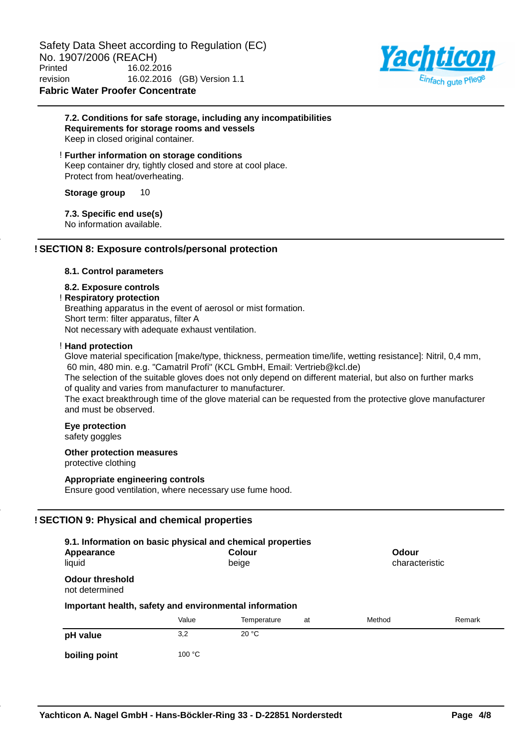Safety Data Sheet according to Regulation (EC) No. 1907/2006 (REACH)<br>Printed 16.02.20 Printed 16.02.2016 revision 16.02.2016 (GB) Version 1.1 **Fabric Water Proofer Concentrate**



## **7.2. Conditions for safe storage, including any incompatibilities Requirements for storage rooms and vessels** Keep in closed original container.

! **Further information on storage conditions** Keep container dry, tightly closed and store at cool place. Protect from heat/overheating.

**Storage group** 10

## **7.3. Specific end use(s)**

No information available.

## **! SECTION 8: Exposure controls/personal protection**

### **8.1. Control parameters**

## **8.2. Exposure controls**

## ! **Respiratory protection**

Breathing apparatus in the event of aerosol or mist formation. Short term: filter apparatus, filter A Not necessary with adequate exhaust ventilation.

#### ! **Hand protection**

Glove material specification [make/type, thickness, permeation time/life, wetting resistance]: Nitril, 0,4 mm, 60 min, 480 min. e.g. "Camatril Profi" (KCL GmbH, Email: Vertrieb@kcl.de)

The selection of the suitable gloves does not only depend on different material, but also on further marks of quality and varies from manufacturer to manufacturer.

The exact breakthrough time of the glove material can be requested from the protective glove manufacturer and must be observed.

## **Eye protection**

safety goggles

### **Other protection measures** protective clothing

# **Appropriate engineering controls**

Ensure good ventilation, where necessary use fume hood.

## **! SECTION 9: Physical and chemical properties**

| 9.1. Information on basic physical and chemical properties |        |                        |    |        |                |  |
|------------------------------------------------------------|--------|------------------------|----|--------|----------------|--|
| Appearance<br>liquid                                       |        | <b>Colour</b><br>beige |    | Odour  | characteristic |  |
| <b>Odour threshold</b><br>not determined                   |        |                        |    |        |                |  |
| Important health, safety and environmental information     |        |                        |    |        |                |  |
|                                                            | Value  | Temperature            | at | Method | Remark         |  |
| pH value                                                   | 3,2    | 20 °C                  |    |        |                |  |
| boiling point                                              | 100 °C |                        |    |        |                |  |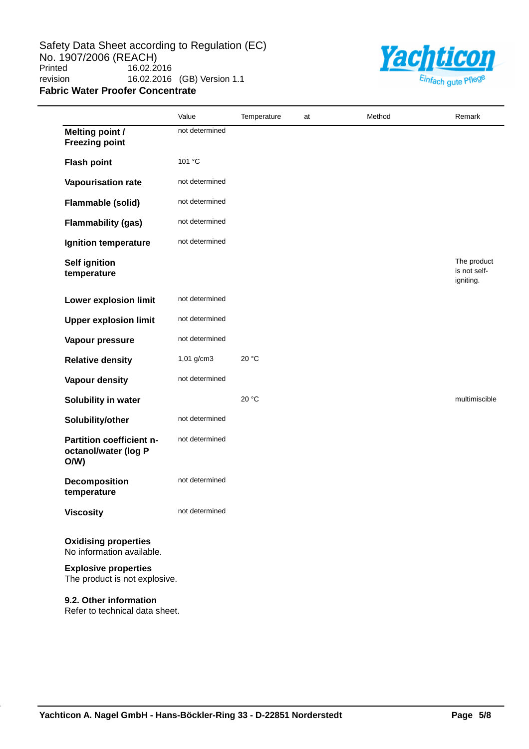Safety Data Sheet according to Regulation (EC) No. 1907/2006 (REACH)<br>Printed 16.02.20 16.02.2016 revision 16.02.2016 (GB) Version 1.1 **Fabric Water Proofer Concentrate**



|                                                              | Value          | Temperature | at | Method | Remark                                   |
|--------------------------------------------------------------|----------------|-------------|----|--------|------------------------------------------|
| <b>Melting point /</b><br><b>Freezing point</b>              | not determined |             |    |        |                                          |
| <b>Flash point</b>                                           | 101 °C         |             |    |        |                                          |
| Vapourisation rate                                           | not determined |             |    |        |                                          |
| <b>Flammable (solid)</b>                                     | not determined |             |    |        |                                          |
| <b>Flammability (gas)</b>                                    | not determined |             |    |        |                                          |
| Ignition temperature                                         | not determined |             |    |        |                                          |
| <b>Self ignition</b><br>temperature                          |                |             |    |        | The product<br>is not self-<br>igniting. |
| Lower explosion limit                                        | not determined |             |    |        |                                          |
| <b>Upper explosion limit</b>                                 | not determined |             |    |        |                                          |
| Vapour pressure                                              | not determined |             |    |        |                                          |
| <b>Relative density</b>                                      | 1,01 g/cm3     | 20 °C       |    |        |                                          |
| <b>Vapour density</b>                                        | not determined |             |    |        |                                          |
| Solubility in water                                          |                | 20 °C       |    |        | multimiscible                            |
| Solubility/other                                             | not determined |             |    |        |                                          |
| Partition coefficient n-<br>octanol/water (log P<br>O/W      | not determined |             |    |        |                                          |
| <b>Decomposition</b><br>temperature                          | not determined |             |    |        |                                          |
| <b>Viscosity</b>                                             | not determined |             |    |        |                                          |
| <b>Oxidising properties</b><br>No information available.     |                |             |    |        |                                          |
| <b>Explosive properties</b><br>The product is not explosive. |                |             |    |        |                                          |

**9.2. Other information** Refer to technical data sheet.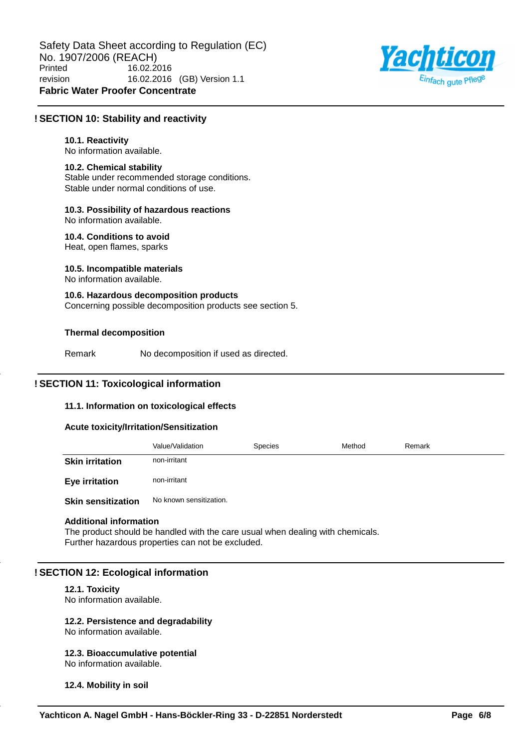

## **! SECTION 10: Stability and reactivity**

## **10.1. Reactivity**

No information available.

## **10.2. Chemical stability**

Stable under recommended storage conditions. Stable under normal conditions of use.

## **10.3. Possibility of hazardous reactions**

No information available.

**10.4. Conditions to avoid** Heat, open flames, sparks

# **10.5. Incompatible materials**

No information available.

**10.6. Hazardous decomposition products** Concerning possible decomposition products see section 5.

## **Thermal decomposition**

Remark No decomposition if used as directed.

## **! SECTION 11: Toxicological information**

## **11.1. Information on toxicological effects**

## **Acute toxicity/Irritation/Sensitization**

|                           | Value/Validation        | Species | Method | Remark |
|---------------------------|-------------------------|---------|--------|--------|
| <b>Skin irritation</b>    | non-irritant            |         |        |        |
| <b>Eye irritation</b>     | non-irritant            |         |        |        |
| <b>Skin sensitization</b> | No known sensitization. |         |        |        |

## **Additional information**

The product should be handled with the care usual when dealing with chemicals. Further hazardous properties can not be excluded.

## **! SECTION 12: Ecological information**

## **12.1. Toxicity**

No information available.

## **12.2. Persistence and degradability**

No information available.

#### **12.3. Bioaccumulative potential** No information available.

**12.4. Mobility in soil**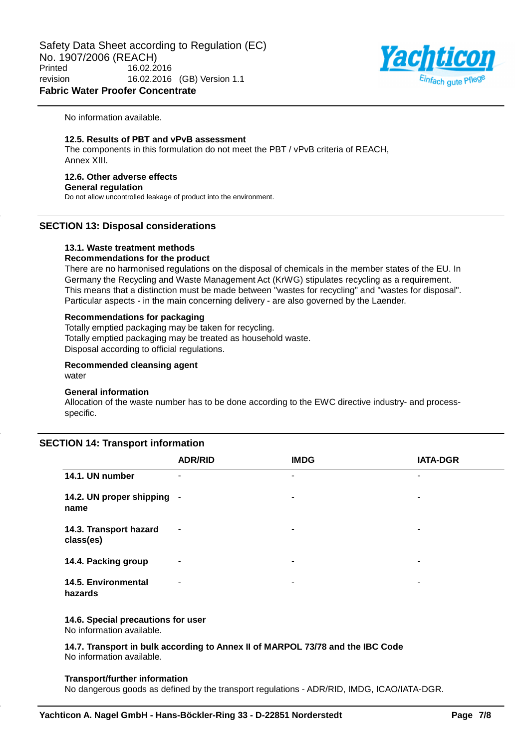Safety Data Sheet according to Regulation (EC) No. 1907/2006 (REACH)<br>Printed 16.02.20 Printed 16.02.2016 revision 16.02.2016 (GB) Version 1.1 **Fabric Water Proofer Concentrate**



No information available.

#### **12.5. Results of PBT and vPvB assessment**

The components in this formulation do not meet the PBT / vPvB criteria of REACH, Annex XIII.

## **12.6. Other adverse effects**

#### **General regulation**

Do not allow uncontrolled leakage of product into the environment.

## **SECTION 13: Disposal considerations**

## **13.1. Waste treatment methods**

## **Recommendations for the product**

There are no harmonised regulations on the disposal of chemicals in the member states of the EU. In Germany the Recycling and Waste Management Act (KrWG) stipulates recycling as a requirement. This means that a distinction must be made between "wastes for recycling" and "wastes for disposal". Particular aspects - in the main concerning delivery - are also governed by the Laender.

## **Recommendations for packaging**

Totally emptied packaging may be taken for recycling. Totally emptied packaging may be treated as household waste. Disposal according to official regulations.

#### **Recommended cleansing agent** water

## **General information**

Allocation of the waste number has to be done according to the EWC directive industry- and processspecific.

## **SECTION 14: Transport information**

|                                     | <b>ADR/RID</b>           | <b>IMDG</b>           | <b>IATA-DGR</b>       |
|-------------------------------------|--------------------------|-----------------------|-----------------------|
| 14.1. UN number                     | ۰                        | ۰                     | ۰                     |
| 14.2. UN proper shipping<br>name    | $\overline{\phantom{a}}$ | ۰                     | ۰                     |
| 14.3. Transport hazard<br>class(es) | $\sim$                   |                       | $\tilde{\phantom{a}}$ |
| 14.4. Packing group                 | ٠                        | ۰                     | ۰                     |
| 14.5. Environmental<br>hazards      | ۰                        | $\tilde{\phantom{a}}$ | ۰                     |

## **14.6. Special precautions for user**

No information available.

**14.7. Transport in bulk according to Annex II of MARPOL 73/78 and the IBC Code** No information available.

#### **Transport/further information**

No dangerous goods as defined by the transport regulations - ADR/RID, IMDG, ICAO/IATA-DGR.